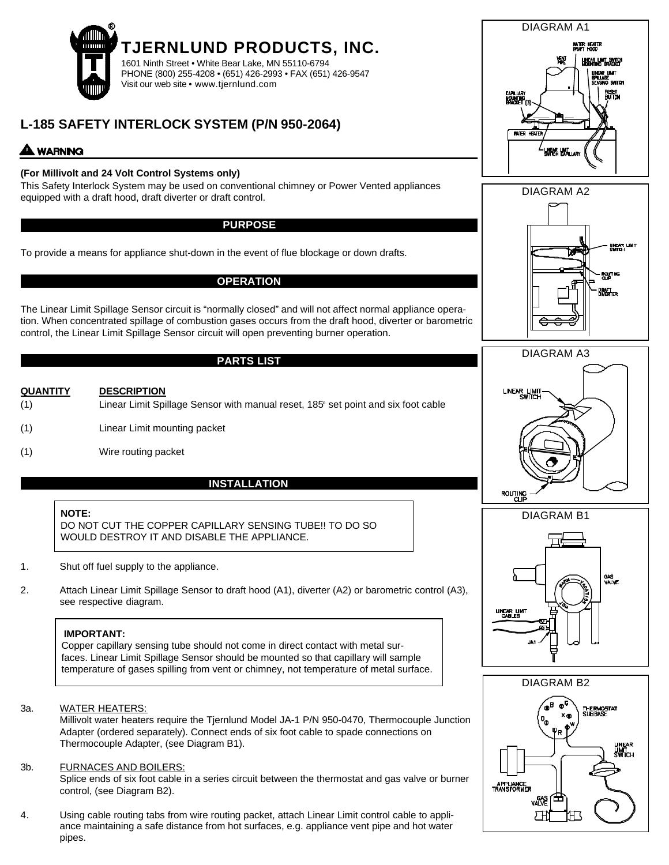

# **L-185 SAFETY INTERLOCK SYSTEM (P/N 950-2064)**

## **WARNING**

## **(For Millivolt and 24 Volt Control Systems only)**

This Safety Interlock System may be used on conventional chimney or Power Vented appliances equipped with a draft hood, draft diverter or draft control.

#### **PURPOSE**

To provide a means for appliance shut-down in the event of flue blockage or down drafts.

### **OPERATION**

The Linear Limit Spillage Sensor circuit is "normally closed" and will not affect normal appliance operation. When concentrated spillage of combustion gases occurs from the draft hood, diverter or barometric control, the Linear Limit Spillage Sensor circuit will open preventing burner operation.

## **PARTS LIST**

- **QUANTITY DESCRIPTION**  $(1)$  Linear Limit Spillage Sensor with manual reset,  $185^\circ$  set point and six foot cable (1) Linear Limit mounting packet
- (1) Wire routing packet

## **INSTALLATION**

#### **NOTE:**

DO NOT CUT THE COPPER CAPILLARY SENSING TUBE!! TO DO SO WOULD DESTROY IT AND DISABLE THE APPLIANCE.

- 1. Shut off fuel supply to the appliance.
- 2. Attach Linear Limit Spillage Sensor to draft hood (A1), diverter (A2) or barometric control (A3), see respective diagram.

#### **IMPORTANT:**

Copper capillary sensing tube should not come in direct contact with metal surfaces. Linear Limit Spillage Sensor should be mounted so that capillary will sample temperature of gases spilling from vent or chimney, not temperature of metal surface.

#### 3a. WATER HEATERS:

Millivolt water heaters require the Tjernlund Model JA-1 P/N 950-0470, Thermocouple Junction Adapter (ordered separately). Connect ends of six foot cable to spade connections on Thermocouple Adapter, (see Diagram B1).

#### 3b. FURNACES AND BOILERS:

Splice ends of six foot cable in a series circuit between the thermostat and gas valve or burner control, (see Diagram B2).

4. Using cable routing tabs from wire routing packet, attach Linear Limit control cable to appliance maintaining a safe distance from hot surfaces, e.g. appliance vent pipe and hot water pipes.